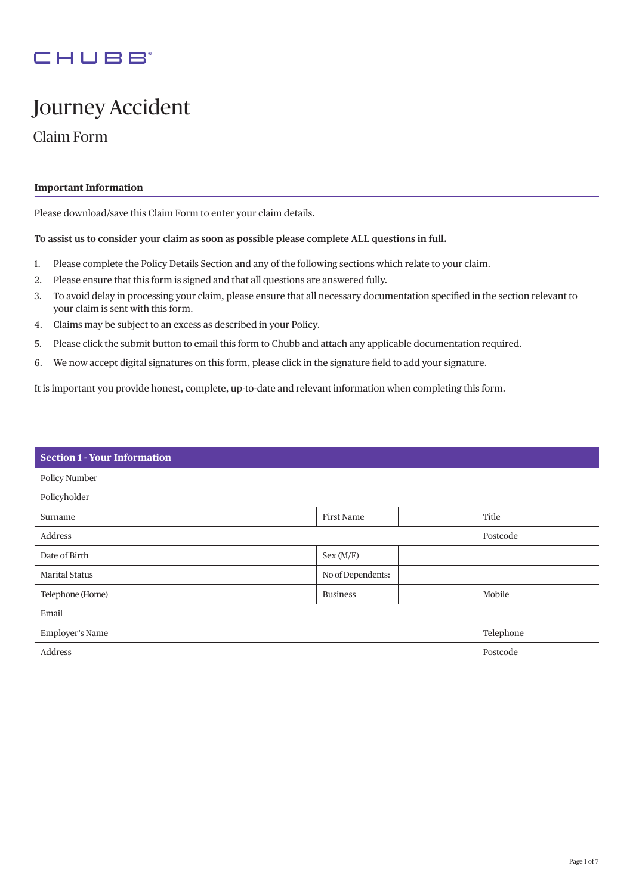## CHUBB<sup>®</sup>

# Journey Accident

Claim Form

### **Important Information**

Please download/save this Claim Form to enter your claim details.

**To assist us to consider your claim as soon as possible please complete ALL questions in full.**

- 1. Please complete the Policy Details Section and any of the following sections which relate to your claim.
- 2. Please ensure that this form is signed and that all questions are answered fully.
- 3. To avoid delay in processing your claim, please ensure that all necessary documentation specified in the section relevant to your claim is sent with this form.
- 4. Claims may be subject to an excess as described in your Policy.
- 5. Please click the submit button to email this form to Chubb and attach any applicable documentation required.
- 6. We now accept digital signatures on this form, please click in the signature field to add your signature.

It is important you provide honest, complete, up-to-date and relevant information when completing this form.

| <b>Section 1 - Your Information</b> |                   |           |  |
|-------------------------------------|-------------------|-----------|--|
| Policy Number                       |                   |           |  |
| Policyholder                        |                   |           |  |
| Surname                             | <b>First Name</b> | Title     |  |
| Address                             |                   | Postcode  |  |
| Date of Birth                       | Sex (M/F)         |           |  |
| <b>Marital Status</b>               | No of Dependents: |           |  |
| Telephone (Home)                    | <b>Business</b>   | Mobile    |  |
| Email                               |                   |           |  |
| Employer's Name                     |                   | Telephone |  |
| Address                             |                   | Postcode  |  |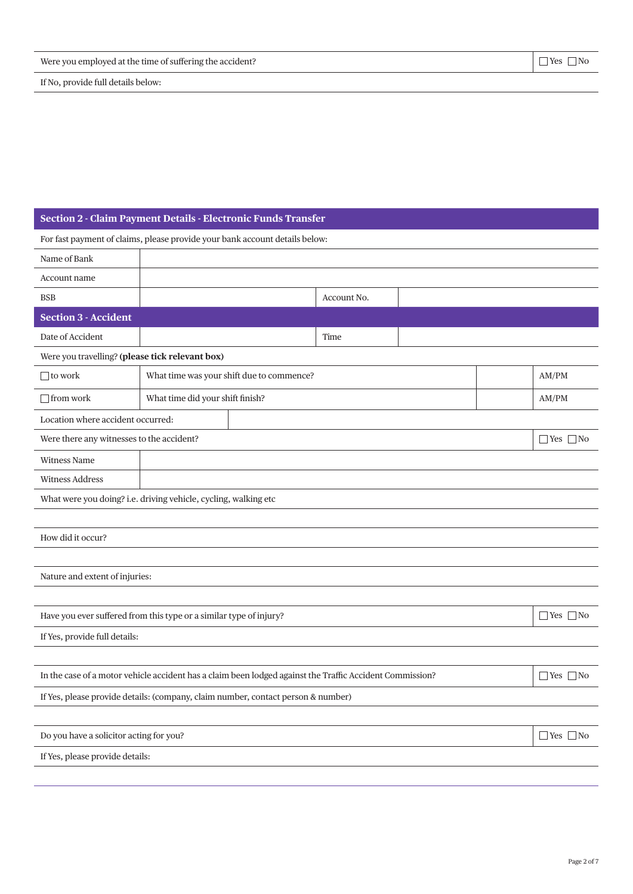If No, provide full details below:

## **Section 2 - Claim Payment Details - Electronic Funds Transfer**

| For fast payment of claims, please provide your bank account details below:      |                                                                                                                                  |                                           |             |  |                      |                      |
|----------------------------------------------------------------------------------|----------------------------------------------------------------------------------------------------------------------------------|-------------------------------------------|-------------|--|----------------------|----------------------|
| Name of Bank                                                                     |                                                                                                                                  |                                           |             |  |                      |                      |
| Account name                                                                     |                                                                                                                                  |                                           |             |  |                      |                      |
| <b>BSB</b>                                                                       |                                                                                                                                  |                                           | Account No. |  |                      |                      |
| <b>Section 3 - Accident</b>                                                      |                                                                                                                                  |                                           |             |  |                      |                      |
| Date of Accident                                                                 |                                                                                                                                  |                                           | Time        |  |                      |                      |
| Were you travelling? (please tick relevant box)                                  |                                                                                                                                  |                                           |             |  |                      |                      |
| $\Box$ to work                                                                   |                                                                                                                                  | What time was your shift due to commence? |             |  |                      | AM/PM                |
| $\Box$ from work                                                                 | What time did your shift finish?                                                                                                 |                                           |             |  |                      | AM/PM                |
| Location where accident occurred:                                                |                                                                                                                                  |                                           |             |  |                      |                      |
| Were there any witnesses to the accident?                                        |                                                                                                                                  |                                           |             |  |                      | $\Box$ Yes $\Box$ No |
| <b>Witness Name</b>                                                              |                                                                                                                                  |                                           |             |  |                      |                      |
| Witness Address                                                                  |                                                                                                                                  |                                           |             |  |                      |                      |
| What were you doing? i.e. driving vehicle, cycling, walking etc                  |                                                                                                                                  |                                           |             |  |                      |                      |
|                                                                                  |                                                                                                                                  |                                           |             |  |                      |                      |
| How did it occur?                                                                |                                                                                                                                  |                                           |             |  |                      |                      |
|                                                                                  |                                                                                                                                  |                                           |             |  |                      |                      |
| Nature and extent of injuries:                                                   |                                                                                                                                  |                                           |             |  |                      |                      |
|                                                                                  |                                                                                                                                  |                                           |             |  |                      |                      |
| Have you ever suffered from this type or a similar type of injury?               |                                                                                                                                  |                                           |             |  | $\Box$ Yes $\Box$ No |                      |
| If Yes, provide full details:                                                    |                                                                                                                                  |                                           |             |  |                      |                      |
|                                                                                  |                                                                                                                                  |                                           |             |  |                      |                      |
|                                                                                  | In the case of a motor vehicle accident has a claim been lodged against the Traffic Accident Commission?<br>$\Box$ Yes $\Box$ No |                                           |             |  |                      |                      |
| If Yes, please provide details: (company, claim number, contact person & number) |                                                                                                                                  |                                           |             |  |                      |                      |
|                                                                                  |                                                                                                                                  |                                           |             |  |                      |                      |
| $\Box$ Yes $\Box$ No<br>Do you have a solicitor acting for you?                  |                                                                                                                                  |                                           |             |  |                      |                      |
| If Yes, please provide details:                                                  |                                                                                                                                  |                                           |             |  |                      |                      |
|                                                                                  |                                                                                                                                  |                                           |             |  |                      |                      |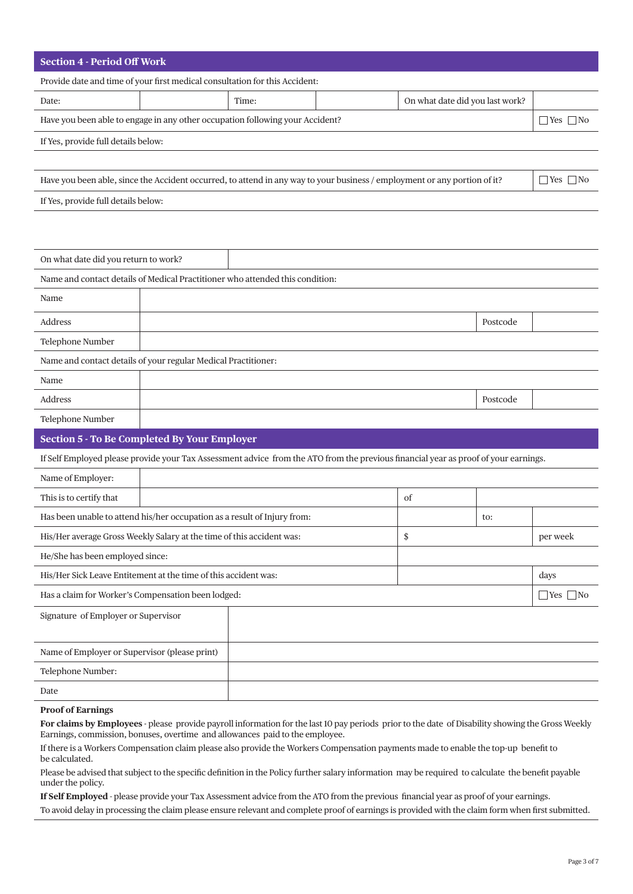| <b>Section 4 - Period Off Work</b>                                                                                                  |                                                                                                                                                   |  |  |      |                      |                      |  |
|-------------------------------------------------------------------------------------------------------------------------------------|---------------------------------------------------------------------------------------------------------------------------------------------------|--|--|------|----------------------|----------------------|--|
|                                                                                                                                     | Provide date and time of your first medical consultation for this Accident:                                                                       |  |  |      |                      |                      |  |
| On what date did you last work?<br>Time:<br>Date:                                                                                   |                                                                                                                                                   |  |  |      |                      |                      |  |
| Have you been able to engage in any other occupation following your Accident?                                                       |                                                                                                                                                   |  |  |      |                      | $\Box$ Yes $\Box$ No |  |
| If Yes, provide full details below:                                                                                                 |                                                                                                                                                   |  |  |      |                      |                      |  |
|                                                                                                                                     |                                                                                                                                                   |  |  |      |                      |                      |  |
|                                                                                                                                     | Have you been able, since the Accident occurred, to attend in any way to your business / employment or any portion of it?<br>$\Box$ Yes $\Box$ No |  |  |      |                      |                      |  |
| If Yes, provide full details below:                                                                                                 |                                                                                                                                                   |  |  |      |                      |                      |  |
|                                                                                                                                     |                                                                                                                                                   |  |  |      |                      |                      |  |
|                                                                                                                                     |                                                                                                                                                   |  |  |      |                      |                      |  |
| On what date did you return to work?                                                                                                |                                                                                                                                                   |  |  |      |                      |                      |  |
| Name and contact details of Medical Practitioner who attended this condition:                                                       |                                                                                                                                                   |  |  |      |                      |                      |  |
| Name                                                                                                                                |                                                                                                                                                   |  |  |      |                      |                      |  |
| Address                                                                                                                             |                                                                                                                                                   |  |  |      | Postcode             |                      |  |
| Telephone Number                                                                                                                    |                                                                                                                                                   |  |  |      |                      |                      |  |
| Name and contact details of your regular Medical Practitioner:                                                                      |                                                                                                                                                   |  |  |      |                      |                      |  |
| Name                                                                                                                                |                                                                                                                                                   |  |  |      |                      |                      |  |
| Address                                                                                                                             |                                                                                                                                                   |  |  |      | Postcode             |                      |  |
| Telephone Number                                                                                                                    |                                                                                                                                                   |  |  |      |                      |                      |  |
| Section 5 - To Be Completed By Your Employer                                                                                        |                                                                                                                                                   |  |  |      |                      |                      |  |
| If Self Employed please provide your Tax Assessment advice from the ATO from the previous financial year as proof of your earnings. |                                                                                                                                                   |  |  |      |                      |                      |  |
| Name of Employer:                                                                                                                   |                                                                                                                                                   |  |  |      |                      |                      |  |
| This is to certify that                                                                                                             |                                                                                                                                                   |  |  | of   |                      |                      |  |
| Has been unable to attend his/her occupation as a result of Injury from:                                                            |                                                                                                                                                   |  |  |      | to:                  |                      |  |
| His/Her average Gross Weekly Salary at the time of this accident was:                                                               |                                                                                                                                                   |  |  | \$   |                      | per week             |  |
| He/She has been employed since:                                                                                                     |                                                                                                                                                   |  |  |      |                      |                      |  |
| His/Her Sick Leave Entitement at the time of this accident was:                                                                     |                                                                                                                                                   |  |  | days |                      |                      |  |
| Has a claim for Worker's Compensation been lodged:                                                                                  |                                                                                                                                                   |  |  |      | $\Box$ Yes $\Box$ No |                      |  |
| Signature of Employer or Supervisor                                                                                                 |                                                                                                                                                   |  |  |      |                      |                      |  |
|                                                                                                                                     |                                                                                                                                                   |  |  |      |                      |                      |  |
|                                                                                                                                     | Name of Employer or Supervisor (please print)                                                                                                     |  |  |      |                      |                      |  |
| Telephone Number:                                                                                                                   |                                                                                                                                                   |  |  |      |                      |                      |  |
| Date                                                                                                                                |                                                                                                                                                   |  |  |      |                      |                      |  |

#### **Proof of Earnings**

**For claims by Employees** - please provide payroll information for the last 10 pay periods prior to the date of Disability showing the Gross Weekly Earnings, commission, bonuses, overtime and allowances paid to the employee.

If there is a Workers Compensation claim please also provide the Workers Compensation payments made to enable the top-up benefit to be calculated.

Please be advised that subject to the specific definition in the Policy further salary information may be required to calculate the benefit payable under the policy.

**If Self Employed** - please provide your Tax Assessment advice from the ATO from the previous financial year as proof of your earnings. To avoid delay in processing the claim please ensure relevant and complete proof of earnings is provided with the claim form when first submitted.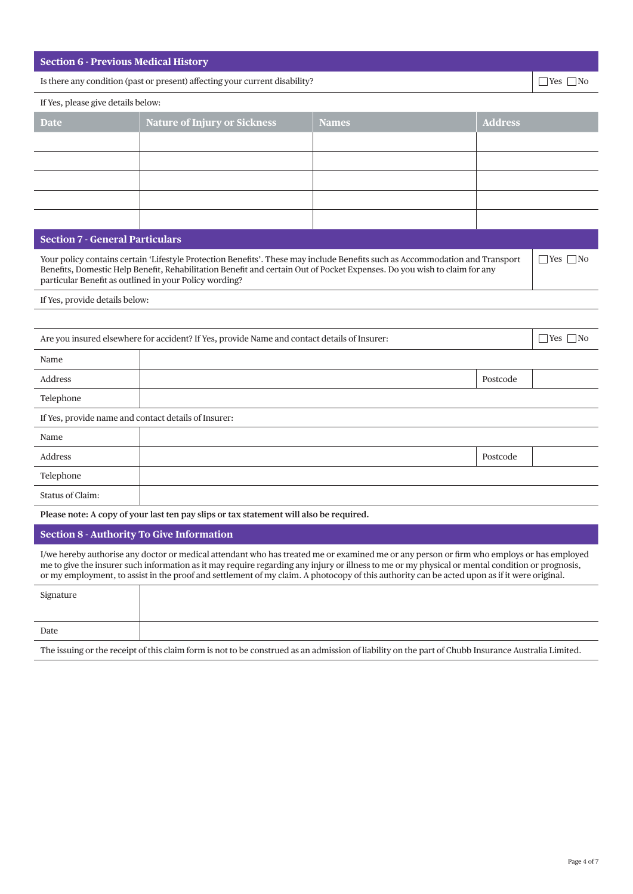| <b>Section 6 - Previous Medical History</b>                                 |                      |
|-----------------------------------------------------------------------------|----------------------|
| Is there any condition (past or present) affecting your current disability? | $\Box$ Yes $\Box$ No |
| If Yes, please give details below:                                          |                      |

| <b>Date</b>                                                                                                                                                                                                                                                                                                        | <b>Nature of Injury or Sickness</b> | <b>Names</b> | <b>Address</b> |  |  |
|--------------------------------------------------------------------------------------------------------------------------------------------------------------------------------------------------------------------------------------------------------------------------------------------------------------------|-------------------------------------|--------------|----------------|--|--|
|                                                                                                                                                                                                                                                                                                                    |                                     |              |                |  |  |
|                                                                                                                                                                                                                                                                                                                    |                                     |              |                |  |  |
|                                                                                                                                                                                                                                                                                                                    |                                     |              |                |  |  |
|                                                                                                                                                                                                                                                                                                                    |                                     |              |                |  |  |
|                                                                                                                                                                                                                                                                                                                    |                                     |              |                |  |  |
| <b>Section 7 - General Particulars</b>                                                                                                                                                                                                                                                                             |                                     |              |                |  |  |
| Your policy contains certain 'Lifestyle Protection Benefits'. These may include Benefits such as Accommodation and Transport<br>Benefits, Domestic Help Benefit, Rehabilitation Benefit and certain Out of Pocket Expenses. Do you wish to claim for any<br>particular Benefit as outlined in your Policy wording? |                                     |              |                |  |  |
| If Yes, provide details below:                                                                                                                                                                                                                                                                                     |                                     |              |                |  |  |

|                                                      | Are you insured elsewhere for accident? If Yes, provide Name and contact details of Insurer: |          | $\Box$ Yes $\Box$ No |  |  |
|------------------------------------------------------|----------------------------------------------------------------------------------------------|----------|----------------------|--|--|
| Name                                                 |                                                                                              |          |                      |  |  |
| Address                                              |                                                                                              | Postcode |                      |  |  |
| Telephone                                            |                                                                                              |          |                      |  |  |
| If Yes, provide name and contact details of Insurer: |                                                                                              |          |                      |  |  |
| Name                                                 |                                                                                              |          |                      |  |  |
| Address                                              |                                                                                              | Postcode |                      |  |  |
| Telephone                                            |                                                                                              |          |                      |  |  |
| Status of Claim:                                     |                                                                                              |          |                      |  |  |

**Please note: A copy of your last ten pay slips or tax statement will also be required.**

## **Section 8 - Authority To Give Information**

I/we hereby authorise any doctor or medical attendant who has treated me or examined me or any person or firm who employs or has employed me to give the insurer such information as it may require regarding any injury or illness to me or my physical or mental condition or prognosis, or my employment, to assist in the proof and settlement of my claim. A photocopy of this authority can be acted upon as if it were original.

| Signature |  |
|-----------|--|
| Date      |  |

The issuing or the receipt of this claim form is not to be construed as an admission of liability on the part of Chubb Insurance Australia Limited.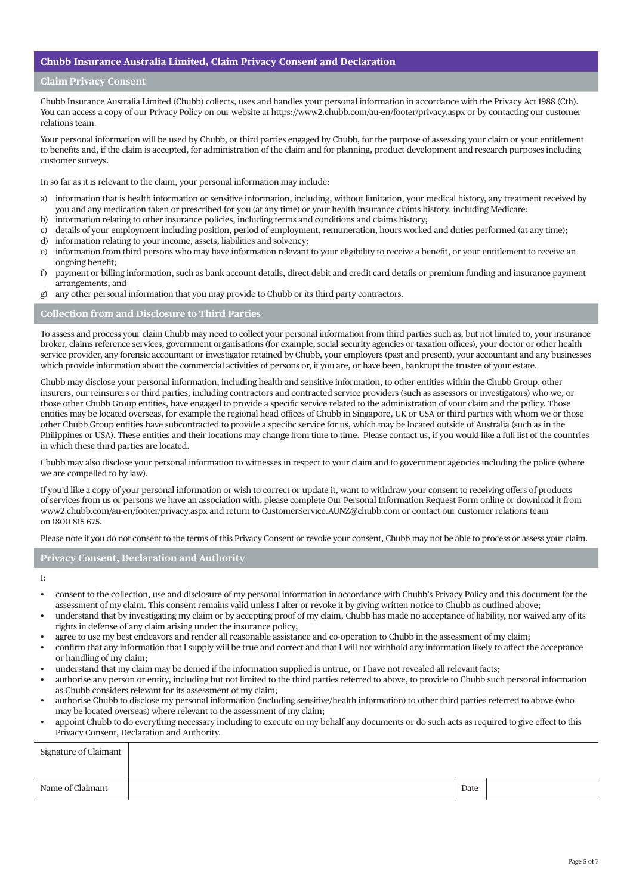#### **Chubb Insurance Australia Limited, Claim Privacy Consent and Declaration**

#### **Claim Privacy Consent**

Chubb Insurance Australia Limited (Chubb) collects, uses and handles your personal information in accordance with the Privacy Act 1988 (Cth). You can access a copy of our Privacy Policy on our website at https://www2.chubb.com/au-en/footer/privacy.aspx or by contacting our customer relations team.

Your personal information will be used by Chubb, or third parties engaged by Chubb, for the purpose of assessing your claim or your entitlement to benefits and, if the claim is accepted, for administration of the claim and for planning, product development and research purposes including customer surveys.

In so far as it is relevant to the claim, your personal information may include:

- a) information that is health information or sensitive information, including, without limitation, your medical history, any treatment received by you and any medication taken or prescribed for you (at any time) or your health insurance claims history, including Medicare;
- b) information relating to other insurance policies, including terms and conditions and claims history;
- c) details of your employment including position, period of employment, remuneration, hours worked and duties performed (at any time);
- d) information relating to your income, assets, liabilities and solvency;
- e) information from third persons who may have information relevant to your eligibility to receive a benefit, or your entitlement to receive an ongoing benefit;
- f) payment or billing information, such as bank account details, direct debit and credit card details or premium funding and insurance payment arrangements; and
- g) any other personal information that you may provide to Chubb or its third party contractors.

#### **Collection from and Disclosure to Third Parties**

To assess and process your claim Chubb may need to collect your personal information from third parties such as, but not limited to, your insurance broker, claims reference services, government organisations (for example, social security agencies or taxation offices), your doctor or other health service provider, any forensic accountant or investigator retained by Chubb, your employers (past and present), your accountant and any businesses which provide information about the commercial activities of persons or, if you are, or have been, bankrupt the trustee of your estate.

Chubb may disclose your personal information, including health and sensitive information, to other entities within the Chubb Group, other insurers, our reinsurers or third parties, including contractors and contracted service providers (such as assessors or investigators) who we, or those other Chubb Group entities, have engaged to provide a specific service related to the administration of your claim and the policy. Those entities may be located overseas, for example the regional head offices of Chubb in Singapore, UK or USA or third parties with whom we or those other Chubb Group entities have subcontracted to provide a specific service for us, which may be located outside of Australia (such as in the Philippines or USA). These entities and their locations may change from time to time. Please contact us, if you would like a full list of the countries in which these third parties are located.

Chubb may also disclose your personal information to witnesses in respect to your claim and to government agencies including the police (where we are compelled to by law).

If you'd like a copy of your personal information or wish to correct or update it, want to withdraw your consent to receiving offers of products of services from us or persons we have an association with, please complete Our Personal Information Request Form online or download it from www2.chubb.com/au-en/footer/privacy.aspx and return to CustomerService.AUNZ@chubb.com or contact our customer relations team on 1800 815 675.

Please note if you do not consent to the terms of this Privacy Consent or revoke your consent, Chubb may not be able to process or assess your claim.

**Privacy Consent, Declaration and Authority**

I:

- consent to the collection, use and disclosure of my personal information in accordance with Chubb's Privacy Policy and this document for the assessment of my claim. This consent remains valid unless I alter or revoke it by giving written notice to Chubb as outlined above;
- understand that by investigating my claim or by accepting proof of my claim, Chubb has made no acceptance of liability, nor waived any of its rights in defense of any claim arising under the insurance policy;
- agree to use my best endeavors and render all reasonable assistance and co-operation to Chubb in the assessment of my claim;
- confirm that any information that I supply will be true and correct and that I will not withhold any information likely to affect the acceptance or handling of my claim;
- understand that my claim may be denied if the information supplied is untrue, or I have not revealed all relevant facts;
- authorise any person or entity, including but not limited to the third parties referred to above, to provide to Chubb such personal information as Chubb considers relevant for its assessment of my claim;
- authorise Chubb to disclose my personal information (including sensitive/health information) to other third parties referred to above (who may be located overseas) where relevant to the assessment of my claim;
- appoint Chubb to do everything necessary including to execute on my behalf any documents or do such acts as required to give effect to this Privacy Consent, Declaration and Authority.

| Signature of Claimant |      |  |
|-----------------------|------|--|
| Name of Claimant      | Date |  |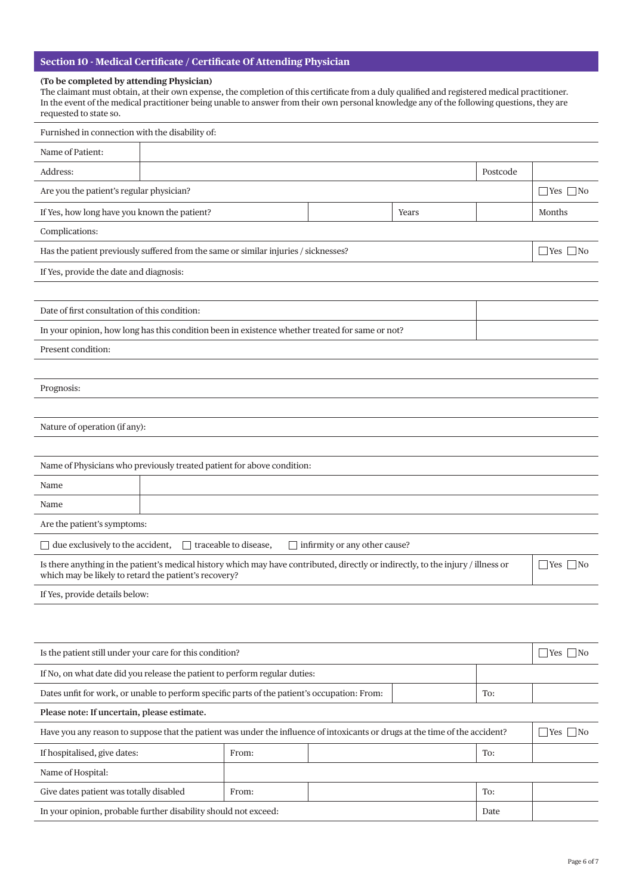## **Section 10 - Medical Certificate / Certificate Of Attending Physician**

## **(To be completed by attending Physician)**

The claimant must obtain, at their own expense, the completion of this certificate from a duly qualified and registered medical practitioner. In the event of the medical practitioner being unable to answer from their own personal knowledge any of the following questions, they are requested to state so.

| Furnished in connection with the disability of:                                                                                                                                            |                                                         |                       |                               |       |                      |                      |
|--------------------------------------------------------------------------------------------------------------------------------------------------------------------------------------------|---------------------------------------------------------|-----------------------|-------------------------------|-------|----------------------|----------------------|
| Name of Patient:                                                                                                                                                                           |                                                         |                       |                               |       |                      |                      |
| Address:                                                                                                                                                                                   | Postcode                                                |                       |                               |       |                      |                      |
| Are you the patient's regular physician?                                                                                                                                                   |                                                         |                       |                               |       |                      | $\Box$ Yes $\Box$ No |
| If Yes, how long have you known the patient?                                                                                                                                               |                                                         |                       |                               | Years |                      | Months               |
| Complications:                                                                                                                                                                             |                                                         |                       |                               |       |                      |                      |
| Has the patient previously suffered from the same or similar injuries / sicknesses?                                                                                                        |                                                         |                       |                               |       |                      | $\Box$ Yes $\Box$ No |
| If Yes, provide the date and diagnosis:                                                                                                                                                    |                                                         |                       |                               |       |                      |                      |
|                                                                                                                                                                                            |                                                         |                       |                               |       |                      |                      |
| Date of first consultation of this condition:                                                                                                                                              |                                                         |                       |                               |       |                      |                      |
| In your opinion, how long has this condition been in existence whether treated for same or not?                                                                                            |                                                         |                       |                               |       |                      |                      |
| Present condition:                                                                                                                                                                         |                                                         |                       |                               |       |                      |                      |
|                                                                                                                                                                                            |                                                         |                       |                               |       |                      |                      |
| Prognosis:                                                                                                                                                                                 |                                                         |                       |                               |       |                      |                      |
|                                                                                                                                                                                            |                                                         |                       |                               |       |                      |                      |
| Nature of operation (if any):                                                                                                                                                              |                                                         |                       |                               |       |                      |                      |
|                                                                                                                                                                                            |                                                         |                       |                               |       |                      |                      |
| Name of Physicians who previously treated patient for above condition:                                                                                                                     |                                                         |                       |                               |       |                      |                      |
| Name                                                                                                                                                                                       |                                                         |                       |                               |       |                      |                      |
| Name                                                                                                                                                                                       |                                                         |                       |                               |       |                      |                      |
| Are the patient's symptoms:                                                                                                                                                                |                                                         |                       |                               |       |                      |                      |
| $\Box$ due exclusively to the accident,                                                                                                                                                    |                                                         | traceable to disease, | infirmity or any other cause? |       |                      |                      |
| Is there anything in the patient's medical history which may have contributed, directly or indirectly, to the injury / illness or<br>which may be likely to retard the patient's recovery? |                                                         |                       |                               |       |                      | $\Box$ Yes $\Box$ No |
| If Yes, provide details below:                                                                                                                                                             |                                                         |                       |                               |       |                      |                      |
|                                                                                                                                                                                            |                                                         |                       |                               |       |                      |                      |
| Is the patient still under your care for this condition?                                                                                                                                   |                                                         |                       |                               |       |                      | $\Box$ Yes $\Box$ No |
| If No, on what date did you release the patient to perform regular duties:                                                                                                                 |                                                         |                       |                               |       |                      |                      |
| Dates unfit for work, or unable to perform specific parts of the patient's occupation: From:<br>To:                                                                                        |                                                         |                       |                               |       |                      |                      |
| Please note: If uncertain, please estimate.                                                                                                                                                |                                                         |                       |                               |       |                      |                      |
| Have you any reason to suppose that the patient was under the influence of intoxicants or drugs at the time of the accident?                                                               |                                                         |                       |                               |       | $\Box$ Yes $\Box$ No |                      |
| If hospitalised, give dates:<br>From:<br>To:                                                                                                                                               |                                                         |                       |                               |       |                      |                      |
| Name of Hospital:                                                                                                                                                                          |                                                         |                       |                               |       |                      |                      |
|                                                                                                                                                                                            | Give dates patient was totally disabled<br>From:<br>To: |                       |                               |       |                      |                      |
| In your opinion, probable further disability should not exceed:<br>Date                                                                                                                    |                                                         |                       |                               |       |                      |                      |